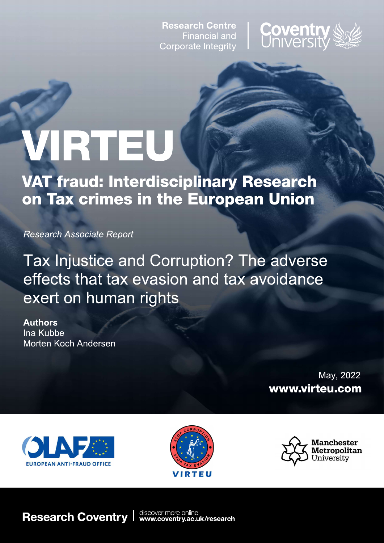**Research Centre Financial and** Corporate Integrity



# VIRTEU

**VAT fraud: Interdisciplinary Research** on Tax crimes in the European Union

**Research Associate Report** 

Tax Injustice and Corruption? The adverse effects that tax evasion and tax avoidance exert on human rights

**Authors** Ina Kubbe Morten Koch Andersen

> May, 2022 www.virteu.com







**Research Coventry** 

discover more online<br>www.coventry.ac.uk/research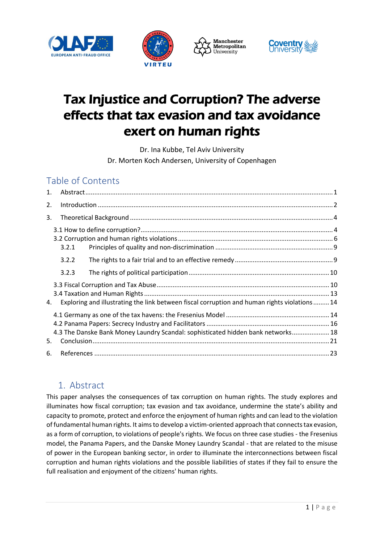







# Tax Injustice and Corruption? The adverse effects that tax evasion and tax avoidance exert on human rights

Dr. Ina Kubbe, Tel Aviv University Dr. Morten Koch Andersen, University of Copenhagen

# Table of Contents

| 1. |       |                                                                                               |  |
|----|-------|-----------------------------------------------------------------------------------------------|--|
| 2. |       |                                                                                               |  |
| 3. |       |                                                                                               |  |
|    |       |                                                                                               |  |
|    |       |                                                                                               |  |
|    | 3.2.1 |                                                                                               |  |
|    | 3.2.2 |                                                                                               |  |
|    | 3.2.3 |                                                                                               |  |
|    |       |                                                                                               |  |
|    |       |                                                                                               |  |
| 4. |       | Exploring and illustrating the link between fiscal corruption and human rights violations  14 |  |
|    |       |                                                                                               |  |
|    |       |                                                                                               |  |
|    |       | 4.3 The Danske Bank Money Laundry Scandal: sophisticated hidden bank networks 18              |  |
| 5. |       |                                                                                               |  |
| 6. |       |                                                                                               |  |

# <span id="page-1-0"></span>1. Abstract

This paper analyses the consequences of tax corruption on human rights. The study explores and illuminates how fiscal corruption; tax evasion and tax avoidance, undermine the state's ability and capacity to promote, protect and enforce the enjoyment of human rights and can lead to the violation of fundamental human rights. It aims to develop a victim-oriented approach that connects tax evasion, as a form of corruption, to violations of people's rights. We focus on three case studies - the Fresenius model, the Panama Papers, and the Danske Money Laundry Scandal - that are related to the misuse of power in the European banking sector, in order to illuminate the interconnections between fiscal corruption and human rights violations and the possible liabilities of states if they fail to ensure the full realisation and enjoyment of the citizens' human rights.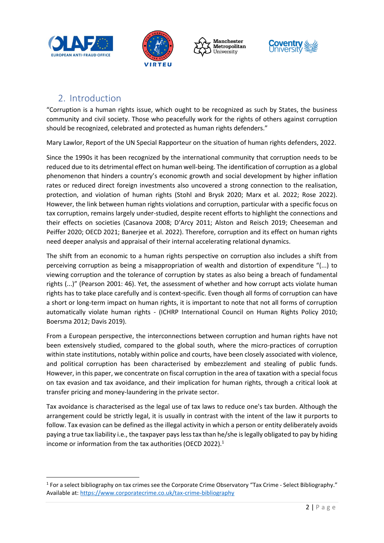







# 2. Introduction

<span id="page-2-0"></span>"Corruption is a human rights issue, which ought to be recognized as such by States, the business community and civil society. Those who peacefully work for the rights of others against corruption should be recognized, celebrated and protected as human rights defenders."

Mary Lawlor, Report of the UN Special Rapporteur on the situation of human rights defenders, 2022.

Since the 1990s it has been recognized by the international community that corruption needs to be reduced due to its detrimental effect on human well-being. The identification of corruption as a global phenomenon that hinders a country's economic growth and social development by higher inflation rates or reduced direct foreign investments also uncovered a strong connection to the realisation, protection, and violation of human rights (Stohl and Brysk 2020; Marx et al. 2022; Rose 2022). However, the link between human rights violations and corruption, particular with a specific focus on tax corruption, remains largely under-studied, despite recent efforts to highlight the connections and their effects on societies (Casanova 2008; D'Arcy 2011; Alston and Reisch 2019; Cheeseman and Peiffer 2020; OECD 2021; Banerjee et al. 2022). Therefore, corruption and its effect on human rights need deeper analysis and appraisal of their internal accelerating relational dynamics.

The shift from an economic to a human rights perspective on corruption also includes a shift from perceiving corruption as being a misappropriation of wealth and distortion of expenditure "(...) to viewing corruption and the tolerance of corruption by states as also being a breach of fundamental rights (...)" (Pearson 2001: 46). Yet, the assessment of whether and how corrupt acts violate human rights has to take place carefully and is context-specific. Even though all forms of corruption can have a short or long-term impact on human rights, it is important to note that not all forms of corruption automatically violate human rights - (ICHRP International Council on Human Rights Policy 2010; Boersma 2012; Davis 2019).

From a European perspective, the interconnections between corruption and human rights have not been extensively studied, compared to the global south, where the micro-practices of corruption within state institutions, notably within police and courts, have been closely associated with violence, and political corruption has been characterised by embezzlement and stealing of public funds. However, in this paper, we concentrate on fiscal corruption in the area of taxation with a special focus on tax evasion and tax avoidance, and their implication for human rights, through a critical look at transfer pricing and money-laundering in the private sector.

Tax avoidance is characterised as the legal use of tax laws to reduce one's tax burden. Although the arrangement could be strictly legal, it is usually in contrast with the intent of the law it purports to follow. Tax evasion can be defined as the illegal activity in which a person or entity deliberately avoids paying a true tax liability i.e., the taxpayer pays less tax than he/she is legally obligated to pay by hiding income or information from the tax authorities (OECD 2022).<sup>1</sup>

 $1$  For a select bibliography on tax crimes see the Corporate Crime Observatory "Tax Crime - Select Bibliography." Available at[: https://www.corporatecrime.co.uk/tax-crime-bibliography](https://www.corporatecrime.co.uk/tax-crime-bibliography)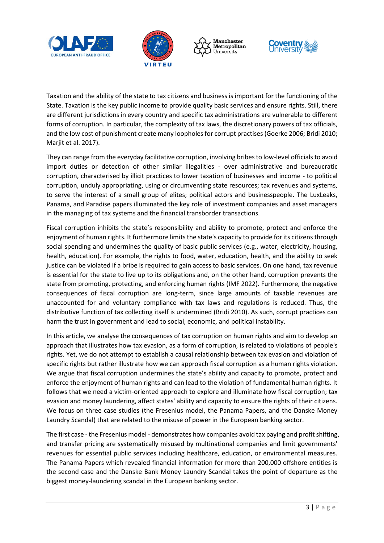







Taxation and the ability of the state to tax citizens and business is important for the functioning of the State. Taxation is the key public income to provide quality basic services and ensure rights. Still, there are different jurisdictions in every country and specific tax administrations are vulnerable to different forms of corruption. In particular, the complexity of tax laws, the discretionary powers of tax officials, and the low cost of punishment create many loopholes for corrupt practises (Goerke 2006; Bridi 2010; Marjit et al. 2017).

They can range from the everyday facilitative corruption, involving bribes to low-level officials to avoid import duties or detection of other similar illegalities - over administrative and bureaucratic corruption, characterised by illicit practices to lower taxation of businesses and income - to political corruption, unduly appropriating, using or circumventing state resources; tax revenues and systems, to serve the interest of a small group of elites; political actors and businesspeople. The LuxLeaks, Panama, and Paradise papers illuminated the key role of investment companies and asset managers in the managing of tax systems and the financial transborder transactions.

Fiscal corruption inhibits the state's responsibility and ability to promote, protect and enforce the enjoyment of human rights. It furthermore limits the state's capacity to provide for its citizens through social spending and undermines the quality of basic public services (e.g., water, electricity, housing, health, education). For example, the rights to food, water, education, health, and the ability to seek justice can be violated if a bribe is required to gain access to basic services. On one hand, tax revenue is essential for the state to live up to its obligations and, on the other hand, corruption prevents the state from promoting, protecting, and enforcing human rights (IMF 2022). Furthermore, the negative consequences of fiscal corruption are long-term, since large amounts of taxable revenues are unaccounted for and voluntary compliance with tax laws and regulations is reduced. Thus, the distributive function of tax collecting itself is undermined (Bridi 2010). As such, corrupt practices can harm the trust in government and lead to social, economic, and political instability.

In this article, we analyse the consequences of tax corruption on human rights and aim to develop an approach that illustrates how tax evasion, as a form of corruption, is related to violations of people's rights. Yet, we do not attempt to establish a causal relationship between tax evasion and violation of specific rights but rather illustrate how we can approach fiscal corruption as a human rights violation. We argue that fiscal corruption undermines the state's ability and capacity to promote, protect and enforce the enjoyment of human rights and can lead to the violation of fundamental human rights. It follows that we need a victim-oriented approach to explore and illuminate how fiscal corruption; tax evasion and money laundering, affect states' ability and capacity to ensure the rights of their citizens. We focus on three case studies (the Fresenius model, the Panama Papers, and the Danske Money Laundry Scandal) that are related to the misuse of power in the European banking sector.

The first case - the Fresenius model - demonstrates how companies avoid tax paying and profit shifting, and transfer pricing are systematically misused by multinational companies and limit governments' revenues for essential public services including healthcare, education, or environmental measures. The Panama Papers which revealed financial information for more than 200,000 offshore entities is the second case and the Danske Bank Money Laundry Scandal takes the point of departure as the biggest money-laundering scandal in the European banking sector.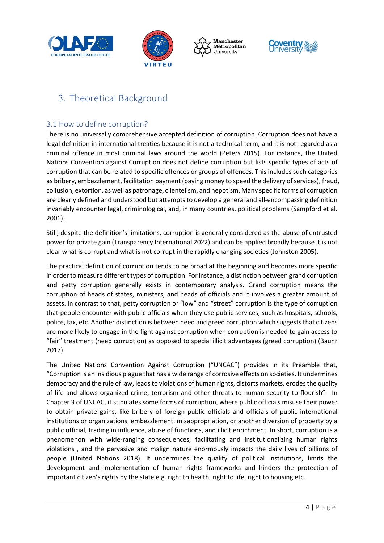







# <span id="page-4-0"></span>3. Theoretical Background

#### <span id="page-4-1"></span>3.1 How to define corruption?

There is no universally comprehensive accepted definition of corruption. Corruption does not have a legal definition in international treaties because it is not a technical term, and it is not regarded as a criminal offence in most criminal laws around the world (Peters 2015). For instance, the United Nations Convention against Corruption does not define corruption but lists specific types of acts of corruption that can be related to specific offences or groups of offences. This includes such categories as bribery, embezzlement, facilitation payment (paying money to speed the delivery of services), fraud, collusion, extortion, as well as patronage, clientelism, and nepotism. Many specific forms of corruption are clearly defined and understood but attempts to develop a general and all-encompassing definition invariably encounter legal, criminological, and, in many countries, political problems (Sampford et al. 2006).

Still, despite the definition's limitations, corruption is generally considered as the abuse of entrusted power for private gain (Transparency International 2022) and can be applied broadly because it is not clear what is corrupt and what is not corrupt in the rapidly changing societies (Johnston 2005).

The practical definition of corruption tends to be broad at the beginning and becomes more specific in order to measure different types of corruption. For instance, a distinction between grand corruption and petty corruption generally exists in contemporary analysis. Grand corruption means the corruption of heads of states, ministers, and heads of officials and it involves a greater amount of assets. In contrast to that, petty corruption or "low" and "street" corruption is the type of corruption that people encounter with public officials when they use public services, such as hospitals, schools, police, tax, etc. Another distinction is between need and greed corruption which suggests that citizens are more likely to engage in the fight against corruption when corruption is needed to gain access to "fair" treatment (need corruption) as opposed to special illicit advantages (greed corruption) (Bauhr 2017).

The United Nations Convention Against Corruption ("UNCAC") provides in its Preamble that, "Corruption is an insidious plague that has a wide range of corrosive effects on societies. It undermines democracy and the rule of law, leads to violations of human rights, distorts markets, erodes the quality of life and allows organized crime, terrorism and other threats to human security to flourish". In Chapter 3 of UNCAC, it stipulates some forms of corruption, where public officials misuse their power to obtain private gains, like bribery of foreign public officials and officials of public international institutions or organizations, embezzlement, misappropriation, or another diversion of property by a public official, trading in influence, abuse of functions, and illicit enrichment. In short, corruption is a phenomenon with wide-ranging consequences, facilitating and institutionalizing human rights violations , and the pervasive and malign nature enormously impacts the daily lives of billions of people (United Nations 2018). It undermines the quality of political institutions, limits the development and implementation of human rights frameworks and hinders the protection of important citizen's rights by the state e.g. right to health, right to life, right to housing etc.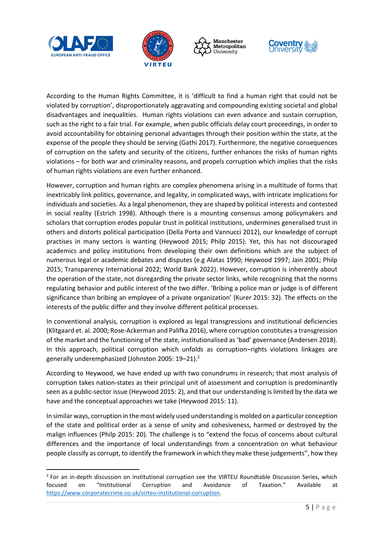







According to the Human Rights Committee, it is 'difficult to find a human right that could not be violated by corruption', disproportionately aggravating and compounding existing societal and global disadvantages and inequalities. Human rights violations can even advance and sustain corruption, such as the right to a fair trial. For example, when public officials delay court proceedings, in order to avoid accountability for obtaining personal advantages through their position within the state, at the expense of the people they should be serving (Gathi 2017). Furthermore, the negative consequences of corruption on the safety and security of the citizens, further enhances the risks of human rights violations – for both war and criminality reasons, and propels corruption which implies that the risks of human rights violations are even further enhanced.

However, corruption and human rights are complex phenomena arising in a multitude of forms that inextricably link politics, governance, and legality, in complicated ways, with intricate implications for individuals and societies. As a legal phenomenon, they are shaped by political interests and contested in social reality (Estrich 1998). Although there is a mounting consensus among policymakers and scholars that corruption erodes popular trust in political institutions, undermines generalised trust in others and distorts political participation (Della Porta and Vannucci 2012), our knowledge of corrupt practises in many sectors is wanting (Heywood 2015; Philp 2015). Yet, this has not discouraged academics and policy institutions from developing their own definitions which are the subject of numerous legal or academic debates and disputes (e.g Alatas 1990; Heywood 1997; Jain 2001; Philp 2015; Transparency International 2022; World Bank 2022). However, corruption is inherently about the operation of the state, not disregarding the private sector links, while recognizing that the norms regulating behavior and public interest of the two differ. 'Bribing a police man or judge is of different significance than bribing an employee of a private organization' (Kurer 2015: 32). The effects on the interests of the public differ and they involve different political processes.

In conventional analysis, corruption is explored as legal transgressions and institutional deficiencies (Klitgaard et. al. 2000; Rose-Ackerman and Palifka 2016), where corruption constitutes a transgression of the market and the functioning of the state, institutionalised as 'bad' governance (Andersen 2018). In this approach, political corruption which unfolds as corruption–rights violations linkages are generally underemphasized (Johnston 2005: 19–21).<sup>2</sup>

According to Heywood, we have ended up with two conundrums in research; that most analysis of corruption takes nation-states as their principal unit of assessment and corruption is predominantly seen as a public-sector issue (Heywood 2015: 2), and that our understanding is limited by the data we have and the conceptual approaches we take (Heywood 2015: 11).

In similar ways, corruption in the most widely used understanding is molded on a particular conception of the state and political order as a sense of unity and cohesiveness, harmed or destroyed by the malign influences (Philp 2015: 20). The challenge is to "extend the focus of concerns about cultural differences and the importance of local understandings from a concentration on what behaviour people classify as corrupt, to identify the framework in which they make these judgements", how they

<sup>&</sup>lt;sup>2</sup> For an in-depth discussion on institutional corruption see the VIRTEU Roundtable Discussion Series, which focused on "Institutional Corruption and Avoidance of Taxation." Available at [https://www.corporatecrime.co.uk/virteu-institutional-corruption.](https://www.corporatecrime.co.uk/virteu-institutional-corruption)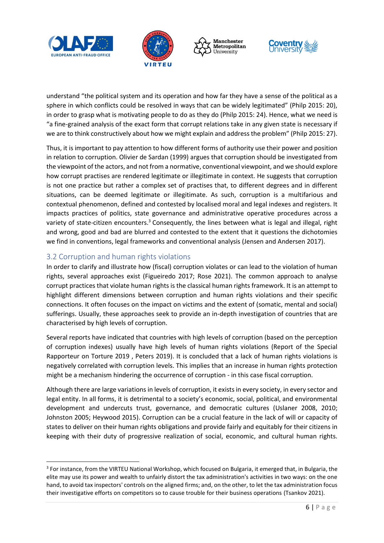







understand "the political system and its operation and how far they have a sense of the political as a sphere in which conflicts could be resolved in ways that can be widely legitimated" (Philp 2015: 20), in order to grasp what is motivating people to do as they do (Philp 2015: 24). Hence, what we need is "a fine-grained analysis of the exact form that corrupt relations take in any given state is necessary if we are to think constructively about how we might explain and address the problem" (Philp 2015: 27).

Thus, it is important to pay attention to how different forms of authority use their power and position in relation to corruption. Olivier de Sardan (1999) argues that corruption should be investigated from the viewpoint of the actors, and not from a normative, conventional viewpoint, and we should explore how corrupt practises are rendered legitimate or illegitimate in context. He suggests that corruption is not one practice but rather a complex set of practises that, to different degrees and in different situations, can be deemed legitimate or illegitimate. As such, corruption is a multifarious and contextual phenomenon, defined and contested by localised moral and legal indexes and registers. It impacts practices of politics, state governance and administrative operative procedures across a variety of state-citizen encounters.<sup>3</sup> Consequently, the lines between what is legal and illegal, right and wrong, good and bad are blurred and contested to the extent that it questions the dichotomies we find in conventions, legal frameworks and conventional analysis (Jensen and Andersen 2017).

#### <span id="page-6-0"></span>3.2 Corruption and human rights violations

In order to clarify and illustrate how (fiscal) corruption violates or can lead to the violation of human rights, several approaches exist (Figueiredo 2017; Rose 2021). The common approach to analyse corrupt practices that violate human rights is the classical human rights framework. It is an attempt to highlight different dimensions between corruption and human rights violations and their specific connections. It often focuses on the impact on victims and the extent of (somatic, mental and social) sufferings. Usually, these approaches seek to provide an in-depth investigation of countries that are characterised by high levels of corruption.

Several reports have indicated that countries with high levels of corruption (based on the perception of corruption indexes) usually have high levels of human rights violations (Report of the Special Rapporteur on Torture 2019 , Peters 2019). It is concluded that a lack of human rights violations is negatively correlated with corruption levels. This implies that an increase in human rights protection might be a mechanism hindering the occurrence of corruption - in this case fiscal corruption.

Although there are large variations in levels of corruption, it exists in every society, in every sector and legal entity. In all forms, it is detrimental to a society's economic, social, political, and environmental development and undercuts trust, governance, and democratic cultures (Uslaner 2008, 2010; Johnston 2005; Heywood 2015). Corruption can be a crucial feature in the lack of will or capacity of states to deliver on their human rights obligations and provide fairly and equitably for their citizens in keeping with their duty of progressive realization of social, economic, and cultural human rights.

<sup>&</sup>lt;sup>3</sup> For instance, from the VIRTEU National Workshop, which focused on Bulgaria, it emerged that, in Bulgaria, the elite may use its power and wealth to unfairly distort the tax administration's activities in two ways: on the one hand, to avoid tax inspectors' controls on the aligned firms; and, on the other, to let the tax administration focus their investigative efforts on competitors so to cause trouble for their business operations (Tsankov 2021).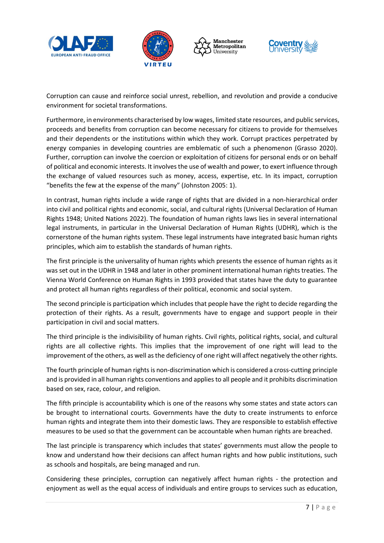







Corruption can cause and reinforce social unrest, rebellion, and revolution and provide a conducive environment for societal transformations.

Furthermore, in environments characterised by low wages, limited state resources, and public services, proceeds and benefits from corruption can become necessary for citizens to provide for themselves and their dependents or the institutions within which they work. Corrupt practices perpetrated by energy companies in developing countries are emblematic of such a phenomenon (Grasso 2020). Further, corruption can involve the coercion or exploitation of citizens for personal ends or on behalf of political and economic interests. It involves the use of wealth and power, to exert influence through the exchange of valued resources such as money, access, expertise, etc. In its impact, corruption "benefits the few at the expense of the many" (Johnston 2005: 1).

In contrast, human rights include a wide range of rights that are divided in a non-hierarchical order into civil and political rights and economic, social, and cultural rights (Universal Declaration of Human Rights 1948; United Nations 2022). The foundation of human rights laws lies in several international legal instruments, in particular in the Universal Declaration of Human Rights (UDHR), which is the cornerstone of the human rights system. These legal instruments have integrated basic human rights principles, which aim to establish the standards of human rights.

The first principle is the universality of human rights which presents the essence of human rights as it was set out in the UDHR in 1948 and later in other prominent international human rights treaties. The Vienna World Conference on Human Rights in 1993 provided that states have the duty to guarantee and protect all human rights regardless of their political, economic and social system.

The second principle is participation which includes that people have the right to decide regarding the protection of their rights. As a result, governments have to engage and support people in their participation in civil and social matters.

The third principle is the indivisibility of human rights. Civil rights, political rights, social, and cultural rights are all collective rights. This implies that the improvement of one right will lead to the improvement of the others, as well as the deficiency of one right will affect negatively the other rights.

The fourth principle of human rights is non-discrimination which is considered a cross-cutting principle and is provided in all human rights conventions and applies to all people and it prohibits discrimination based on sex, race, colour, and religion.

The fifth principle is accountability which is one of the reasons why some states and state actors can be brought to international courts. Governments have the duty to create instruments to enforce human rights and integrate them into their domestic laws. They are responsible to establish effective measures to be used so that the government can be accountable when human rights are breached.

The last principle is transparency which includes that states' governments must allow the people to know and understand how their decisions can affect human rights and how public institutions, such as schools and hospitals, are being managed and run.

Considering these principles, corruption can negatively affect human rights - the protection and enjoyment as well as the equal access of individuals and entire groups to services such as education,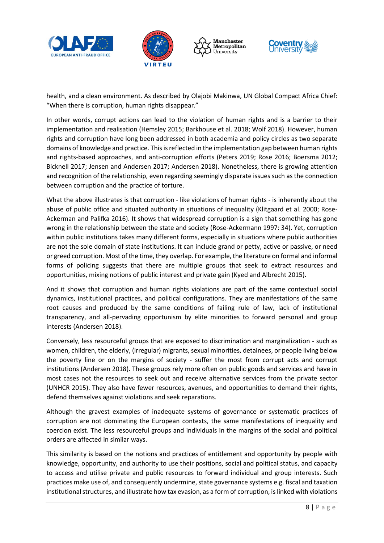







health, and a clean environment. As described by Olajobi Makinwa, UN Global Compact Africa Chief: "When there is corruption, human rights disappear."

In other words, corrupt actions can lead to the violation of human rights and is a barrier to their implementation and realisation (Hemsley 2015; Barkhouse et al. 2018; Wolf 2018). However, human rights and corruption have long been addressed in both academia and policy circles as two separate domains of knowledge and practice. This is reflected in the implementation gap between human rights and rights-based approaches, and anti-corruption efforts (Peters 2019; Rose 2016; Boersma 2012; Bicknell 2017; Jensen and Andersen 2017; Andersen 2018). Nonetheless, there is growing attention and recognition of the relationship, even regarding seemingly disparate issues such as the connection between corruption and the practice of torture.

What the above illustrates is that corruption - like violations of human rights - is inherently about the abuse of public office and situated authority in situations of inequality (Klitgaard et al. 2000; Rose-Ackerman and Palifka 2016). It shows that widespread corruption is a sign that something has gone wrong in the relationship between the state and society (Rose-Ackermann 1997: 34). Yet, corruption within public institutions takes many different forms, especially in situations where public authorities are not the sole domain of state institutions. It can include grand or petty, active or passive, or need or greed corruption. Most of the time, they overlap. For example, the literature on formal and informal forms of policing suggests that there are multiple groups that seek to extract resources and opportunities, mixing notions of public interest and private gain (Kyed and Albrecht 2015).

And it shows that corruption and human rights violations are part of the same contextual social dynamics, institutional practices, and political configurations. They are manifestations of the same root causes and produced by the same conditions of failing rule of law, lack of institutional transparency, and all-pervading opportunism by elite minorities to forward personal and group interests (Andersen 2018).

Conversely, less resourceful groups that are exposed to discrimination and marginalization - such as women, children, the elderly, (irregular) migrants, sexual minorities, detainees, or people living below the poverty line or on the margins of society - suffer the most from corrupt acts and corrupt institutions (Andersen 2018). These groups rely more often on public goods and services and have in most cases not the resources to seek out and receive alternative services from the private sector (UNHCR 2015). They also have fewer resources, avenues, and opportunities to demand their rights, defend themselves against violations and seek reparations.

Although the gravest examples of inadequate systems of governance or systematic practices of corruption are not dominating the European contexts, the same manifestations of inequality and coercion exist. The less resourceful groups and individuals in the margins of the social and political orders are affected in similar ways.

This similarity is based on the notions and practices of entitlement and opportunity by people with knowledge, opportunity, and authority to use their positions, social and political status, and capacity to access and utilise private and public resources to forward individual and group interests. Such practices make use of, and consequently undermine, state governance systems e.g. fiscal and taxation institutional structures, and illustrate how tax evasion, as a form of corruption, is linked with violations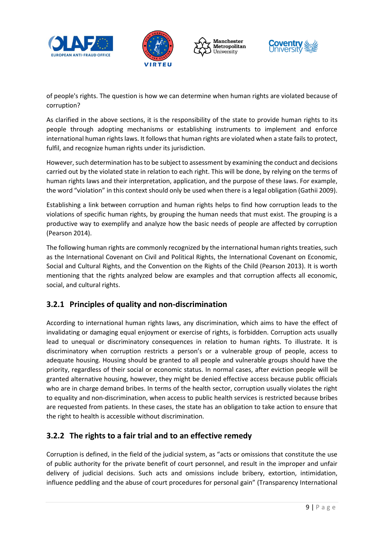







of people's rights. The question is how we can determine when human rights are violated because of corruption?

As clarified in the above sections, it is the responsibility of the state to provide human rights to its people through adopting mechanisms or establishing instruments to implement and enforce international human rights laws. It follows that human rights are violated when a state fails to protect, fulfil, and recognize human rights under its jurisdiction.

However, such determination has to be subject to assessment by examining the conduct and decisions carried out by the violated state in relation to each right. This will be done, by relying on the terms of human rights laws and their interpretation, application, and the purpose of these laws. For example, the word "violation" in this context should only be used when there is a legal obligation (Gathii 2009).

Establishing a link between corruption and human rights helps to find how corruption leads to the violations of specific human rights, by grouping the human needs that must exist. The grouping is a productive way to exemplify and analyze how the basic needs of people are affected by corruption (Pearson 2014).

The following human rights are commonly recognized by the international human rights treaties, such as the International Covenant on Civil and Political Rights, the International Covenant on Economic, Social and Cultural Rights, and the Convention on the Rights of the Child (Pearson 2013). It is worth mentioning that the rights analyzed below are examples and that corruption affects all economic, social, and cultural rights.

#### <span id="page-9-0"></span>**3.2.1 Principles of quality and non-discrimination**

According to international human rights laws, any discrimination, which aims to have the effect of invalidating or damaging equal enjoyment or exercise of rights, is forbidden. Corruption acts usually lead to unequal or discriminatory consequences in relation to human rights. To illustrate. It is discriminatory when corruption restricts a person's or a vulnerable group of people, access to adequate housing. Housing should be granted to all people and vulnerable groups should have the priority, regardless of their social or economic status. In normal cases, after eviction people will be granted alternative housing, however, they might be denied effective access because public officials who are in charge demand bribes. In terms of the health sector, corruption usually violates the right to equality and non-discrimination, when access to public health services is restricted because bribes are requested from patients. In these cases, the state has an obligation to take action to ensure that the right to health is accessible without discrimination.

### <span id="page-9-1"></span>**3.2.2 The rights to a fair trial and to an effective remedy**

Corruption is defined, in the field of the judicial system, as "acts or omissions that constitute the use of public authority for the private benefit of court personnel, and result in the improper and unfair delivery of judicial decisions. Such acts and omissions include bribery, extortion, intimidation, influence peddling and the abuse of court procedures for personal gain" (Transparency International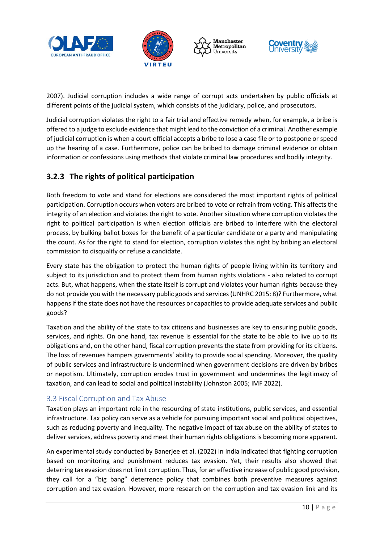







2007). Judicial corruption includes a wide range of corrupt acts undertaken by public officials at different points of the judicial system, which consists of the judiciary, police, and prosecutors.

Judicial corruption violates the right to a fair trial and effective remedy when, for example, a bribe is offered to a judge to exclude evidence that might lead to the conviction of a criminal. Another example of judicial corruption is when a court official accepts a bribe to lose a case file or to postpone or speed up the hearing of a case. Furthermore, police can be bribed to damage criminal evidence or obtain information or confessions using methods that violate criminal law procedures and bodily integrity.

## <span id="page-10-0"></span>**3.2.3 The rights of political participation**

Both freedom to vote and stand for elections are considered the most important rights of political participation. Corruption occurs when voters are bribed to vote or refrain from voting. This affects the integrity of an election and violates the right to vote. Another situation where corruption violates the right to political participation is when election officials are bribed to interfere with the electoral process, by bulking ballot boxes for the benefit of a particular candidate or a party and manipulating the count. As for the right to stand for election, corruption violates this right by bribing an electoral commission to disqualify or refuse a candidate.

Every state has the obligation to protect the human rights of people living within its territory and subject to its jurisdiction and to protect them from human rights violations - also related to corrupt acts. But, what happens, when the state itself is corrupt and violates your human rights because they do not provide you with the necessary public goods and services (UNHRC 2015: 8)? Furthermore, what happens if the state does not have the resources or capacities to provide adequate services and public goods?

Taxation and the ability of the state to tax citizens and businesses are key to ensuring public goods, services, and rights. On one hand, tax revenue is essential for the state to be able to live up to its obligations and, on the other hand, fiscal corruption prevents the state from providing for its citizens. The loss of revenues hampers governments' ability to provide social spending. Moreover, the quality of public services and infrastructure is undermined when government decisions are driven by bribes or nepotism. Ultimately, corruption erodes trust in government and undermines the legitimacy of taxation, and can lead to social and political instability (Johnston 2005; IMF 2022).

#### <span id="page-10-1"></span>3.3 Fiscal Corruption and Tax Abuse

Taxation plays an important role in the resourcing of state institutions, public services, and essential infrastructure. Tax policy can serve as a vehicle for pursuing important social and political objectives, such as reducing poverty and inequality. The negative impact of tax abuse on the ability of states to deliver services, address poverty and meet their human rights obligations is becoming more apparent.

An experimental study conducted by Banerjee et al. (2022) in India indicated that fighting corruption based on monitoring and punishment reduces tax evasion. Yet, their results also showed that deterring tax evasion does not limit corruption. Thus, for an effective increase of public good provision, they call for a "big bang" deterrence policy that combines both preventive measures against corruption and tax evasion. However, more research on the corruption and tax evasion link and its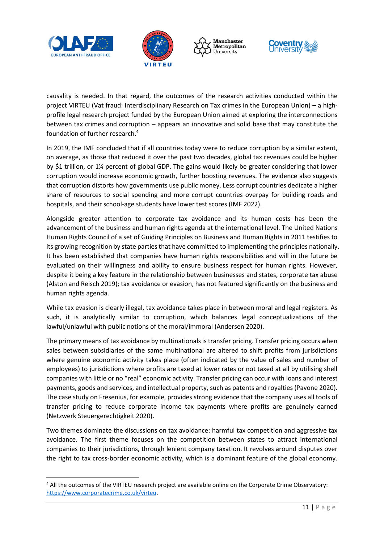







causality is needed. In that regard, the outcomes of the research activities conducted within the project VIRTEU (Vat fraud: Interdisciplinary Research on Tax crimes in the European Union) – a highprofile legal research project funded by the European Union aimed at exploring the interconnections between tax crimes and corruption – appears an innovative and solid base that may constitute the foundation of further research. 4

In 2019, the IMF concluded that if all countries today were to reduce corruption by a similar extent, on average, as those that reduced it over the past two decades, global tax revenues could be higher by \$1 trillion, or 1¼ percent of global GDP. The gains would likely be greater considering that lower corruption would increase economic growth, further boosting revenues. The evidence also suggests that corruption distorts how governments use public money. Less corrupt countries dedicate a higher share of resources to social spending and more corrupt countries overpay for building roads and hospitals, and their school-age students have lower test scores (IMF 2022).

Alongside greater attention to corporate tax avoidance and its human costs has been the advancement of the business and human rights agenda at the international level. The United Nations Human Rights Council of a set of Guiding Principles on Business and Human Rights in 2011 testifies to its growing recognition by state parties that have committed to implementing the principles nationally. It has been established that companies have human rights responsibilities and will in the future be evaluated on their willingness and ability to ensure business respect for human rights. However, despite it being a key feature in the relationship between businesses and states, corporate tax abuse (Alston and Reisch 2019); tax avoidance or evasion, has not featured significantly on the business and human rights agenda.

While tax evasion is clearly illegal, tax avoidance takes place in between moral and legal registers. As such, it is analytically similar to corruption, which balances legal conceptualizations of the lawful/unlawful with public notions of the moral/immoral (Andersen 2020).

The primary means of tax avoidance by multinationals is transfer pricing. Transfer pricing occurs when sales between subsidiaries of the same multinational are altered to shift profits from jurisdictions where genuine economic activity takes place (often indicated by the value of sales and number of employees) to jurisdictions where profits are taxed at lower rates or not taxed at all by utilising shell companies with little or no "real" economic activity. Transfer pricing can occur with loans and interest payments, goods and services, and intellectual property, such as patents and royalties (Pavone 2020). The case study on Fresenius, for example, provides strong evidence that the company uses all tools of transfer pricing to reduce corporate income tax payments where profits are genuinely earned (Netzwerk Steuergerechtigkeit 2020).

Two themes dominate the discussions on tax avoidance: harmful tax competition and aggressive tax avoidance. The first theme focuses on the competition between states to attract international companies to their jurisdictions, through lenient company taxation. It revolves around disputes over the right to tax cross-border economic activity, which is a dominant feature of the global economy.

<sup>4</sup> All the outcomes of the VIRTEU research project are available online on the Corporate Crime Observatory: [https://www.corporatecrime.co.uk/virteu.](https://www.corporatecrime.co.uk/virteu)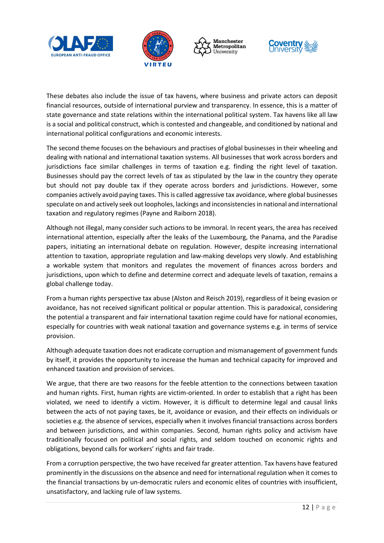







These debates also include the issue of tax havens, where business and private actors can deposit financial resources, outside of international purview and transparency. In essence, this is a matter of state governance and state relations within the international political system. Tax havens like all law is a social and political construct, which is contested and changeable, and conditioned by national and international political configurations and economic interests.

The second theme focuses on the behaviours and practises of global businesses in their wheeling and dealing with national and international taxation systems. All businesses that work across borders and jurisdictions face similar challenges in terms of taxation e.g. finding the right level of taxation. Businesses should pay the correct levels of tax as stipulated by the law in the country they operate but should not pay double tax if they operate across borders and jurisdictions. However, some companies actively avoid paying taxes. This is called aggressive tax avoidance, where global businesses speculate on and actively seek out loopholes, lackings and inconsistencies in national and international taxation and regulatory regimes (Payne and Raiborn 2018).

Although not illegal, many consider such actions to be immoral. In recent years, the area has received international attention, especially after the leaks of the Luxembourg, the Panama, and the Paradise papers, initiating an international debate on regulation. However, despite increasing international attention to taxation, appropriate regulation and law-making develops very slowly. And establishing a workable system that monitors and regulates the movement of finances across borders and jurisdictions, upon which to define and determine correct and adequate levels of taxation, remains a global challenge today.

From a human rights perspective tax abuse (Alston and Reisch 2019), regardless of it being evasion or avoidance, has not received significant political or popular attention. This is paradoxical, considering the potential a transparent and fair international taxation regime could have for national economies, especially for countries with weak national taxation and governance systems e.g. in terms of service provision.

Although adequate taxation does not eradicate corruption and mismanagement of government funds by itself, it provides the opportunity to increase the human and technical capacity for improved and enhanced taxation and provision of services.

We argue, that there are two reasons for the feeble attention to the connections between taxation and human rights. First, human rights are victim-oriented. In order to establish that a right has been violated, we need to identify a victim. However, it is difficult to determine legal and causal links between the acts of not paying taxes, be it, avoidance or evasion, and their effects on individuals or societies e.g. the absence of services, especially when it involves financial transactions across borders and between jurisdictions, and within companies. Second, human rights policy and activism have traditionally focused on political and social rights, and seldom touched on economic rights and obligations, beyond calls for workers' rights and fair trade.

From a corruption perspective, the two have received far greater attention. Tax havens have featured prominently in the discussions on the absence and need for international regulation when it comes to the financial transactions by un-democratic rulers and economic elites of countries with insufficient, unsatisfactory, and lacking rule of law systems.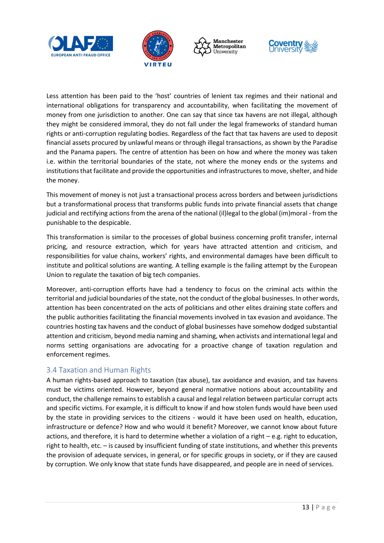







Less attention has been paid to the 'host' countries of lenient tax regimes and their national and international obligations for transparency and accountability, when facilitating the movement of money from one jurisdiction to another. One can say that since tax havens are not illegal, although they might be considered immoral, they do not fall under the legal frameworks of standard human rights or anti-corruption regulating bodies. Regardless of the fact that tax havens are used to deposit financial assets procured by unlawful means or through illegal transactions, as shown by the Paradise and the Panama papers. The centre of attention has been on how and where the money was taken i.e. within the territorial boundaries of the state, not where the money ends or the systems and institutions that facilitate and provide the opportunities and infrastructures to move, shelter, and hide the money.

This movement of money is not just a transactional process across borders and between jurisdictions but a transformational process that transforms public funds into private financial assets that change judicial and rectifying actions from the arena of the national (il)legal to the global (im)moral - from the punishable to the despicable.

This transformation is similar to the processes of global business concerning profit transfer, internal pricing, and resource extraction, which for years have attracted attention and criticism, and responsibilities for value chains, workers' rights, and environmental damages have been difficult to institute and political solutions are wanting. A telling example is the failing attempt by the European Union to regulate the taxation of big tech companies.

Moreover, anti-corruption efforts have had a tendency to focus on the criminal acts within the territorial and judicial boundaries of the state, not the conduct of the global businesses. In other words, attention has been concentrated on the acts of politicians and other elites draining state coffers and the public authorities facilitating the financial movements involved in tax evasion and avoidance. The countries hosting tax havens and the conduct of global businesses have somehow dodged substantial attention and criticism, beyond media naming and shaming, when activists and international legal and norms setting organisations are advocating for a proactive change of taxation regulation and enforcement regimes.

#### <span id="page-13-0"></span>3.4 Taxation and Human Rights

A human rights-based approach to taxation (tax abuse), tax avoidance and evasion, and tax havens must be victims oriented. However, beyond general normative notions about accountability and conduct, the challenge remains to establish a causal and legal relation between particular corrupt acts and specific victims. For example, it is difficult to know if and how stolen funds would have been used by the state in providing services to the citizens - would it have been used on health, education, infrastructure or defence? How and who would it benefit? Moreover, we cannot know about future actions, and therefore, it is hard to determine whether a violation of a right – e.g. right to education, right to health, etc. – is caused by insufficient funding of state institutions, and whether this prevents the provision of adequate services, in general, or for specific groups in society, or if they are caused by corruption. We only know that state funds have disappeared, and people are in need of services.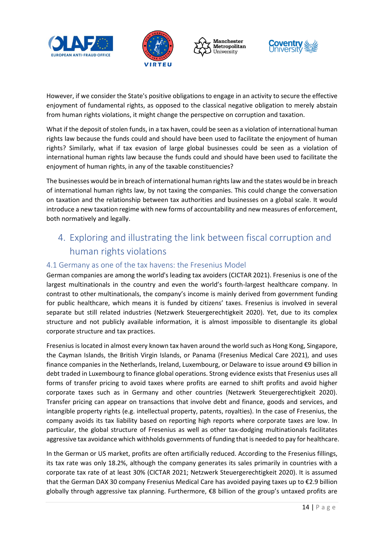







However, if we consider the State's positive obligations to engage in an activity to secure the effective enjoyment of fundamental rights, as opposed to the classical negative obligation to merely abstain from human rights violations, it might change the perspective on corruption and taxation.

What if the deposit of stolen funds, in a tax haven, could be seen as a violation of international human rights law because the funds could and should have been used to facilitate the enjoyment of human rights? Similarly, what if tax evasion of large global businesses could be seen as a violation of international human rights law because the funds could and should have been used to facilitate the enjoyment of human rights, in any of the taxable constituencies?

The businesses would be in breach of international human rights law and the states would be in breach of international human rights law, by not taxing the companies. This could change the conversation on taxation and the relationship between tax authorities and businesses on a global scale. It would introduce a new taxation regime with new forms of accountability and new measures of enforcement, both normatively and legally.

# <span id="page-14-0"></span>4. Exploring and illustrating the link between fiscal corruption and human rights violations

#### <span id="page-14-1"></span>4.1 Germany as one of the tax havens: the Fresenius Model

German companies are among the world's leading tax avoiders (CICTAR 2021). Fresenius is one of the largest multinationals in the country and even the world's fourth-largest healthcare company. In contrast to other multinationals, the company's income is mainly derived from government funding for public healthcare, which means it is funded by citizens' taxes. Fresenius is involved in several separate but still related industries (Netzwerk Steuergerechtigkeit 2020). Yet, due to its complex structure and not publicly available information, it is almost impossible to disentangle its global corporate structure and tax practices.

Fresenius is located in almost every known tax haven around the world such as Hong Kong, Singapore, the Cayman Islands, the British Virgin Islands, or Panama (Fresenius Medical Care 2021), and uses finance companies in the Netherlands, Ireland, Luxembourg, or Delaware to issue around €9 billion in debt traded in Luxembourg to finance global operations. Strong evidence exists that Fresenius uses all forms of transfer pricing to avoid taxes where profits are earned to shift profits and avoid higher corporate taxes such as in Germany and other countries (Netzwerk Steuergerechtigkeit 2020). Transfer pricing can appear on transactions that involve debt and finance, goods and services, and intangible property rights (e.g. intellectual property, patents, royalties). In the case of Fresenius, the company avoids its tax liability based on reporting high reports where corporate taxes are low. In particular, the global structure of Fresenius as well as other tax-dodging multinationals facilitates aggressive tax avoidance which withholds governments of funding that is needed to pay for healthcare.

In the German or US market, profits are often artificially reduced. According to the Fresenius fillings, its tax rate was only 18.2%, although the company generates its sales primarily in countries with a corporate tax rate of at least 30% (CICTAR 2021; Netzwerk Steuergerechtigkeit 2020). It is assumed that the German DAX 30 company Fresenius Medical Care has avoided paying taxes up to €2.9 billion globally through aggressive tax planning. Furthermore, €8 billion of the group's untaxed profits are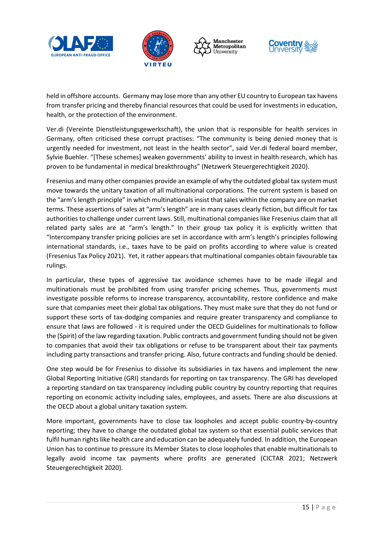







held in offshore accounts. Germany may lose more than any other EU country to European tax havens from transfer pricing and thereby financial resources that could be used for investments in education, health, or the protection of the environment.

Ver.di (Vereinte Dienstleistungsgewerkschaft), the union that is responsible for health services in Germany, often criticised these corrupt practises: "The community is being denied money that is urgently needed for investment, not least in the health sector", said Ver.di federal board member, Sylvie Buehler. "[These schemes] weaken governments' ability to invest in health research, which has proven to be fundamental in medical breakthroughs" (Netzwerk Steuergerechtigkeit 2020).

Fresenius and many other companies provide an example of why the outdated global tax system must move towards the unitary taxation of all multinational corporations. The current system is based on the "arm's length principle" in which multinationals insist that sales within the company are on market terms. These assertions of sales at "arm's length" are in many cases clearly fiction, but difficult for tax authorities to challenge under current laws. Still, multinational companies like Fresenius claim that all related party sales are at "arm's length." In their group tax policy it is explicitly written that "Intercompany transfer pricing policies are set in accordance with arm's length's principles following international standards, i.e., taxes have to be paid on profits according to where value is created (Fresenius Tax Policy 2021). Yet, it rather appears that multinational companies obtain favourable tax rulings.

In particular, these types of aggressive tax avoidance schemes have to be made illegal and multinationals must be prohibited from using transfer pricing schemes. Thus, governments must investigate possible reforms to increase transparency, accountability, restore confidence and make sure that companies meet their global tax obligations. They must make sure that they do not fund or support these sorts of tax-dodging companies and require greater transparency and compliance to ensure that laws are followed - it is required under the OECD Guidelines for multinationals to follow the (Spirit) of the law regarding taxation. Public contracts and government funding should not be given to companies that avoid their tax obligations or refuse to be transparent about their tax payments including party transactions and transfer pricing. Also, future contracts and funding should be denied.

One step would be for Fresenius to dissolve its subsidiaries in tax havens and implement the new Global Reporting Initiative (GRI) standards for reporting on tax transparency. The GRI has developed a reporting standard on tax transparency including public country by country reporting that requires reporting on economic activity including sales, employees, and assets. There are also discussions at the OECD about a global unitary taxation system.

More important, governments have to close tax loopholes and accept public country-by-country reporting; they have to change the outdated global tax system so that essential public services that fulfil human rights like health care and education can be adequately funded. In addition, the European Union has to continue to pressure its Member States to close loopholes that enable multinationals to legally avoid income tax payments where profits are generated (CICTAR 2021; Netzwerk Steuergerechtigkeit 2020).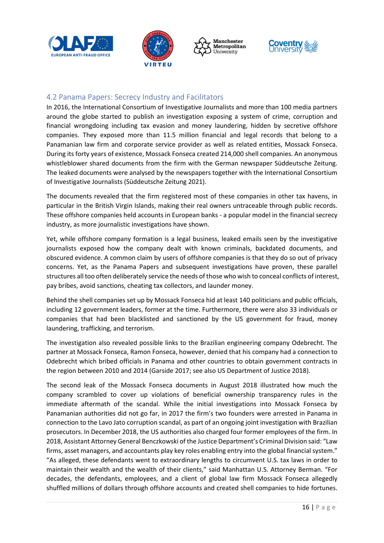







#### <span id="page-16-0"></span>4.2 Panama Papers: Secrecy Industry and Facilitators

In 2016, the International Consortium of Investigative Journalists and more than 100 media partners around the globe started to publish an investigation exposing a system of crime, corruption and financial wrongdoing including tax evasion and money laundering, hidden by secretive offshore companies. They exposed more than 11.5 million financial and legal records that belong to a Panamanian law firm and corporate service provider as well as related entities, Mossack Fonseca. During its forty years of existence, Mossack Fonseca created 214,000 shell companies. An anonymous whistleblower shared documents from the firm with the German newspaper Süddeutsche Zeitung. The leaked documents were analysed by the newspapers together with the International Consortium of Investigative Journalists (Süddeutsche Zeitung 2021).

The documents revealed that the firm registered most of these companies in other tax havens, in particular in the British Virgin Islands, making their real owners untraceable through public records. These offshore companies held accounts in European banks - a popular model in the financial secrecy industry, as more journalistic investigations have shown.

Yet, while offshore company formation is a legal business, leaked emails seen by the investigative journalists exposed how the company dealt with known criminals, backdated documents, and obscured evidence. A common claim by users of offshore companies is that they do so out of privacy concerns. Yet, as the Panama Papers and subsequent investigations have proven, these parallel structures all too often deliberately service the needs of those who wish to conceal conflicts of interest, pay bribes, avoid sanctions, cheating tax collectors, and launder money.

Behind the shell companies set up by Mossack Fonseca hid at least 140 politicians and public officials, including 12 government leaders, former at the time. Furthermore, there were also 33 individuals or companies that had been blacklisted and sanctioned by the US government for fraud, money laundering, trafficking, and terrorism.

The investigation also revealed possible links to the Brazilian engineering company Odebrecht. The partner at Mossack Fonseca, Ramon Fonseca, however, denied that his company had a connection to Odebrecht which bribed officials in Panama and other countries to obtain government contracts in the region between 2010 and 2014 (Garside 2017; see also US Department of Justice 2018).

The second leak of the Mossack Fonseca documents in August 2018 illustrated how much the company scrambled to cover up violations of beneficial ownership transparency rules in the immediate aftermath of the scandal. While the initial investigations into Mossack Fonseca by Panamanian authorities did not go far, in 2017 the firm's two founders were arrested in Panama in connection to the Lavo Jato corruption scandal, as part of an ongoing joint investigation with Brazilian prosecutors. In December 2018, the US authorities also charged four former employees of the firm. In 2018, Assistant Attorney General Benczkowski of the Justice Department's Criminal Division said: "Law firms, asset managers, and accountants play key roles enabling entry into the global financial system." "As alleged, these defendants went to extraordinary lengths to circumvent U.S. tax laws in order to maintain their wealth and the wealth of their clients," said Manhattan U.S. Attorney Berman. "For decades, the defendants, employees, and a client of global law firm Mossack Fonseca allegedly shuffled millions of dollars through offshore accounts and created shell companies to hide fortunes.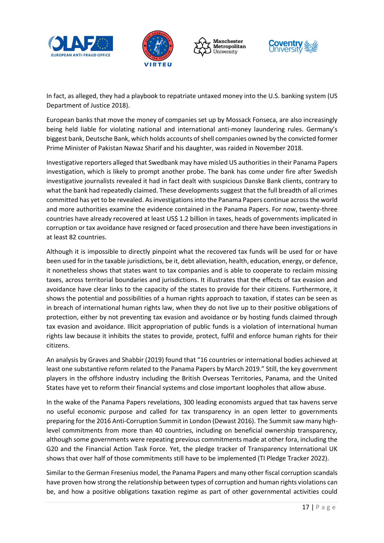







In fact, as alleged, they had a playbook to repatriate untaxed money into the U.S. banking system (US Department of Justice 2018).

European banks that move the money of companies set up by Mossack Fonseca, are also increasingly being held liable for violating national and international anti-money laundering rules. Germany's biggest bank, Deutsche Bank, which holds accounts of shell companies owned by the convicted former Prime Minister of Pakistan Nawaz Sharif and his daughter, was raided in November 2018.

Investigative reporters alleged that Swedbank may have misled US authorities in their Panama Papers investigation, which is likely to prompt another probe. The bank has come under fire after Swedish investigative journalists revealed it had in fact dealt with suspicious Danske Bank clients, contrary to what the bank had repeatedly claimed. These developments suggest that the full breadth of all crimes committed has yet to be revealed. As investigations into the Panama Papers continue across the world and more authorities examine the evidence contained in the Panama Papers. For now, twenty-three countries have already recovered at least US\$ 1.2 billion in taxes, heads of governments implicated in corruption or tax avoidance have resigned or faced prosecution and there have been investigations in at least 82 countries.

Although it is impossible to directly pinpoint what the recovered tax funds will be used for or have been used for in the taxable jurisdictions, be it, debt alleviation, health, education, energy, or defence, it nonetheless shows that states want to tax companies and is able to cooperate to reclaim missing taxes, across territorial boundaries and jurisdictions. It illustrates that the effects of tax evasion and avoidance have clear links to the capacity of the states to provide for their citizens. Furthermore, it shows the potential and possibilities of a human rights approach to taxation, if states can be seen as in breach of international human rights law, when they do not live up to their positive obligations of protection, either by not preventing tax evasion and avoidance or by hosting funds claimed through tax evasion and avoidance. Illicit appropriation of public funds is a violation of international human rights law because it inhibits the states to provide, protect, fulfil and enforce human rights for their citizens.

An analysis by Graves and Shabbir (2019) found that "16 countries or international bodies achieved at least one substantive reform related to the Panama Papers by March 2019." Still, the key government players in the offshore industry including the British Overseas Territories, Panama, and the United States have yet to reform their financial systems and close important loopholes that allow abuse.

In the wake of the Panama Papers revelations, 300 leading economists argued that tax havens serve no useful economic purpose and called for tax transparency in an open letter to governments preparing for the 2016 Anti-Corruption Summit in London (Dewast 2016). The Summit saw many highlevel commitments from more than 40 countries, including on beneficial ownership transparency, although some governments were repeating previous commitments made at other fora, including the G20 and the Financial Action Task Force. Yet, the pledge tracker of Transparency International UK shows that over half of those commitments still have to be implemented (TI Pledge Tracker 2022).

Similar to the German Fresenius model, the Panama Papers and many other fiscal corruption scandals have proven how strong the relationship between types of corruption and human rights violations can be, and how a positive obligations taxation regime as part of other governmental activities could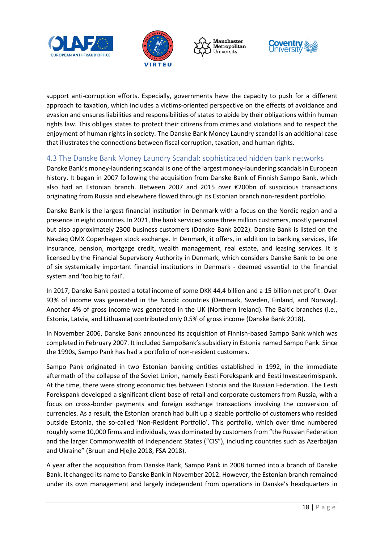







support anti-corruption efforts. Especially, governments have the capacity to push for a different approach to taxation, which includes a victims-oriented perspective on the effects of avoidance and evasion and ensures liabilities and responsibilities of states to abide by their obligations within human rights law. This obliges states to protect their citizens from crimes and violations and to respect the enjoyment of human rights in society. The Danske Bank Money Laundry scandal is an additional case that illustrates the connections between fiscal corruption, taxation, and human rights.

#### <span id="page-18-0"></span>4.3 The Danske Bank Money Laundry Scandal: sophisticated hidden bank networks

Danske Bank's money-laundering scandal is one of the largest money-laundering scandals in European history. It began in 2007 following the acquisition from Danske Bank of Finnish Sampo Bank, which also had an Estonian branch. Between 2007 and 2015 over €200bn of suspicious transactions originating from Russia and elsewhere flowed through its Estonian branch non-resident portfolio.

Danske Bank is the largest financial institution in Denmark with a focus on the Nordic region and a presence in eight countries. In 2021, the bank serviced some three million customers, mostly personal but also approximately 2300 business customers (Danske Bank 2022). Danske Bank is listed on the Nasdaq OMX Copenhagen stock exchange. In Denmark, it offers, in addition to banking services, life insurance, pension, mortgage credit, wealth management, real estate, and leasing services. It is licensed by the Financial Supervisory Authority in Denmark, which considers Danske Bank to be one of six systemically important financial institutions in Denmark - deemed essential to the financial system and 'too big to fail'.

In 2017, Danske Bank posted a total income of some DKK 44,4 billion and a 15 billion net profit. Over 93% of income was generated in the Nordic countries (Denmark, Sweden, Finland, and Norway). Another 4% of gross income was generated in the UK (Northern Ireland). The Baltic branches (i.e., Estonia, Latvia, and Lithuania) contributed only 0.5% of gross income (Danske Bank 2018).

In November 2006, Danske Bank announced its acquisition of Finnish-based Sampo Bank which was completed in February 2007. It included SampoBank's subsidiary in Estonia named Sampo Pank. Since the 1990s, Sampo Pank has had a portfolio of non-resident customers.

Sampo Pank originated in two Estonian banking entities established in 1992, in the immediate aftermath of the collapse of the Soviet Union, namely Eesti Forekspank and Eesti Investeerimispank. At the time, there were strong economic ties between Estonia and the Russian Federation. The Eesti Forekspank developed a significant client base of retail and corporate customers from Russia, with a focus on cross-border payments and foreign exchange transactions involving the conversion of currencies. As a result, the Estonian branch had built up a sizable portfolio of customers who resided outside Estonia, the so-called 'Non-Resident Portfolio'. This portfolio, which over time numbered roughly some 10,000 firms and individuals, was dominated by customers from "the Russian Federation and the larger Commonwealth of Independent States ("CIS"), including countries such as Azerbaijan and Ukraine" (Bruun and Hjejle 2018, FSA 2018).

A year after the acquisition from Danske Bank, Sampo Pank in 2008 turned into a branch of Danske Bank. It changed its name to Danske Bank in November 2012. However, the Estonian branch remained under its own management and largely independent from operations in Danske's headquarters in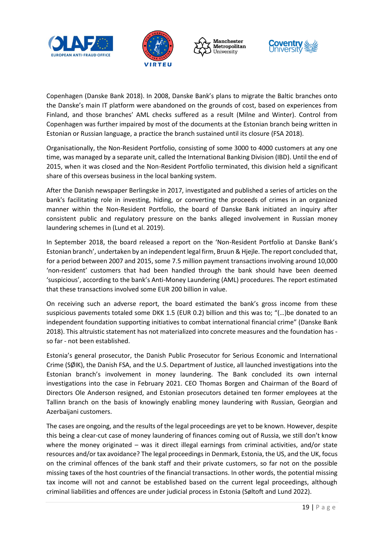







Copenhagen (Danske Bank 2018). In 2008, Danske Bank's plans to migrate the Baltic branches onto the Danske's main IT platform were abandoned on the grounds of cost, based on experiences from Finland, and those branches' AML checks suffered as a result (Milne and Winter). Control from Copenhagen was further impaired by most of the documents at the Estonian branch being written in Estonian or Russian language, a practice the branch sustained until its closure (FSA 2018).

Organisationally, the Non-Resident Portfolio, consisting of some 3000 to 4000 customers at any one time, was managed by a separate unit, called the International Banking Division (IBD). Until the end of 2015, when it was closed and the Non-Resident Portfolio terminated, this division held a significant share of this overseas business in the local banking system.

After the Danish newspaper Berlingske in 2017, investigated and published a series of articles on the bank's facilitating role in investing, hiding, or converting the proceeds of crimes in an organized manner within the Non-Resident Portfolio, the board of Danske Bank initiated an inquiry after consistent public and regulatory pressure on the banks alleged involvement in Russian money laundering schemes in (Lund et al. 2019).

In September 2018, the board released a report on the 'Non-Resident Portfolio at Danske Bank's Estonian branch', undertaken by an independent legal firm, Bruun & Hjejle. The report concluded that, for a period between 2007 and 2015, some 7.5 million payment transactions involving around 10,000 'non-resident' customers that had been handled through the bank should have been deemed 'suspicious', according to the bank's Anti-Money Laundering (AML) procedures. The report estimated that these transactions involved some EUR 200 billion in value.

On receiving such an adverse report, the board estimated the bank's gross income from these suspicious pavements totaled some DKK 1.5 (EUR 0.2) billion and this was to; "(…)be donated to an independent foundation supporting initiatives to combat international financial crime" (Danske Bank 2018). This altruistic statement has not materialized into concrete measures and the foundation has so far - not been established.

Estonia's general prosecutor, the Danish Public Prosecutor for Serious Economic and International Crime (SØIK), the Danish FSA, and the U.S. Department of Justice, all launched investigations into the Estonian branch's involvement in money laundering. The Bank concluded its own internal investigations into the case in February 2021. CEO Thomas Borgen and Chairman of the Board of Directors Ole Anderson resigned, and Estonian prosecutors detained ten former employees at the Tallinn branch on the basis of knowingly enabling money laundering with Russian, Georgian and Azerbaijani customers.

The cases are ongoing, and the results of the legal proceedings are yet to be known. However, despite this being a clear-cut case of money laundering of finances coming out of Russia, we still don't know where the money originated – was it direct illegal earnings from criminal activities, and/or state resources and/or tax avoidance? The legal proceedings in Denmark, Estonia, the US, and the UK, focus on the criminal offences of the bank staff and their private customers, so far not on the possible missing taxes of the host countries of the financial transactions. In other words, the potential missing tax income will not and cannot be established based on the current legal proceedings, although criminal liabilities and offences are under judicial process in Estonia (Søltoft and Lund 2022).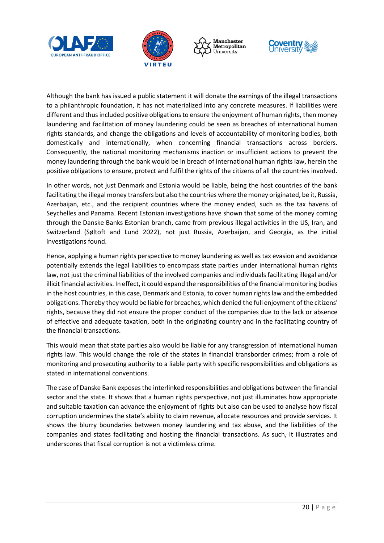







Although the bank has issued a public statement it will donate the earnings of the illegal transactions to a philanthropic foundation, it has not materialized into any concrete measures. If liabilities were different and thus included positive obligations to ensure the enjoyment of human rights, then money laundering and facilitation of money laundering could be seen as breaches of international human rights standards, and change the obligations and levels of accountability of monitoring bodies, both domestically and internationally, when concerning financial transactions across borders. Consequently, the national monitoring mechanisms inaction or insufficient actions to prevent the money laundering through the bank would be in breach of international human rights law, herein the positive obligations to ensure, protect and fulfil the rights of the citizens of all the countries involved.

In other words, not just Denmark and Estonia would be liable, being the host countries of the bank facilitating the illegal money transfers but also the countries where the money originated, be it, Russia, Azerbaijan, etc., and the recipient countries where the money ended, such as the tax havens of Seychelles and Panama. Recent Estonian investigations have shown that some of the money coming through the Danske Banks Estonian branch, came from previous illegal activities in the US, Iran, and Switzerland (Søltoft and Lund 2022), not just Russia, Azerbaijan, and Georgia, as the initial investigations found.

Hence, applying a human rights perspective to money laundering as well as tax evasion and avoidance potentially extends the legal liabilities to encompass state parties under international human rights law, not just the criminal liabilities of the involved companies and individuals facilitating illegal and/or illicit financial activities. In effect, it could expand the responsibilities of the financial monitoring bodies in the host countries, in this case, Denmark and Estonia, to cover human rights law and the embedded obligations. Thereby they would be liable for breaches, which denied the full enjoyment of the citizens' rights, because they did not ensure the proper conduct of the companies due to the lack or absence of effective and adequate taxation, both in the originating country and in the facilitating country of the financial transactions.

This would mean that state parties also would be liable for any transgression of international human rights law. This would change the role of the states in financial transborder crimes; from a role of monitoring and prosecuting authority to a liable party with specific responsibilities and obligations as stated in international conventions.

The case of Danske Bank exposes the interlinked responsibilities and obligations between the financial sector and the state. It shows that a human rights perspective, not just illuminates how appropriate and suitable taxation can advance the enjoyment of rights but also can be used to analyse how fiscal corruption undermines the state's ability to claim revenue, allocate resources and provide services. It shows the blurry boundaries between money laundering and tax abuse, and the liabilities of the companies and states facilitating and hosting the financial transactions. As such, it illustrates and underscores that fiscal corruption is not a victimless crime.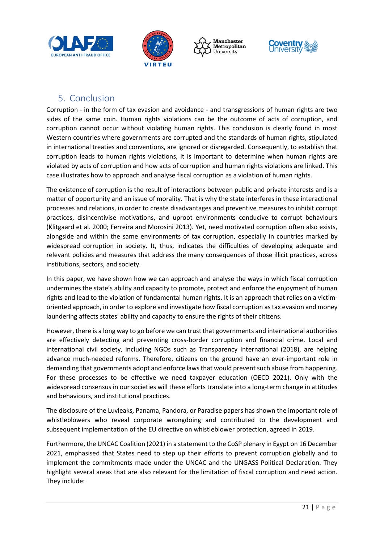







# <span id="page-21-0"></span>5. Conclusion

Corruption - in the form of tax evasion and avoidance - and transgressions of human rights are two sides of the same coin. Human rights violations can be the outcome of acts of corruption, and corruption cannot occur without violating human rights. This conclusion is clearly found in most Western countries where governments are corrupted and the standards of human rights, stipulated in international treaties and conventions, are ignored or disregarded. Consequently, to establish that corruption leads to human rights violations, it is important to determine when human rights are violated by acts of corruption and how acts of corruption and human rights violations are linked. This case illustrates how to approach and analyse fiscal corruption as a violation of human rights.

The existence of corruption is the result of interactions between public and private interests and is a matter of opportunity and an issue of morality. That is why the state interferes in these interactional processes and relations, in order to create disadvantages and preventive measures to inhibit corrupt practices, disincentivise motivations, and uproot environments conducive to corrupt behaviours (Klitgaard et al. 2000; Ferreira and Morosini 2013). Yet, need motivated corruption often also exists, alongside and within the same environments of tax corruption, especially in countries marked by widespread corruption in society. It, thus, indicates the difficulties of developing adequate and relevant policies and measures that address the many consequences of those illicit practices, across institutions, sectors, and society.

In this paper, we have shown how we can approach and analyse the ways in which fiscal corruption undermines the state's ability and capacity to promote, protect and enforce the enjoyment of human rights and lead to the violation of fundamental human rights. It is an approach that relies on a victimoriented approach, in order to explore and investigate how fiscal corruption as tax evasion and money laundering affects states' ability and capacity to ensure the rights of their citizens.

However, there is a long way to go before we can trust that governments and international authorities are effectively detecting and preventing cross-border corruption and financial crime. Local and international civil society, including NGOs such as Transparency International (2018), are helping advance much-needed reforms. Therefore, citizens on the ground have an ever-important role in demanding that governments adopt and enforce laws that would prevent such abuse from happening. For these processes to be effective we need taxpayer education (OECD 2021). Only with the widespread consensus in our societies will these efforts translate into a long-term change in attitudes and behaviours, and institutional practices.

The disclosure of the Luvleaks, Panama, Pandora, or Paradise papers has shown the important role of whistleblowers who reveal corporate wrongdoing and contributed to the development and subsequent implementation of the EU directive on whistleblower protection, agreed in 2019.

Furthermore, the UNCAC Coalition (2021) in a statement to the CoSP plenary in Egypt on 16 December 2021, emphasised that States need to step up their efforts to prevent corruption globally and to implement the commitments made under the UNCAC and the UNGASS Political Declaration. They highlight several areas that are also relevant for the limitation of fiscal corruption and need action. They include: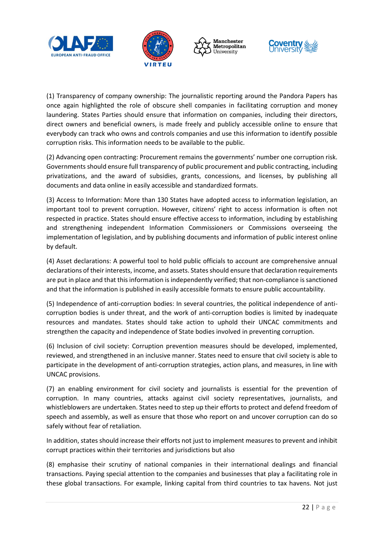







(1) Transparency of company ownership: The journalistic reporting around the Pandora Papers has once again highlighted the role of obscure shell companies in facilitating corruption and money laundering. States Parties should ensure that information on companies, including their directors, direct owners and beneficial owners, is made freely and publicly accessible online to ensure that everybody can track who owns and controls companies and use this information to identify possible corruption risks. This information needs to be available to the public.

(2) Advancing open contracting: Procurement remains the governments' number one corruption risk. Governments should ensure full transparency of public procurement and public contracting, including privatizations, and the award of subsidies, grants, concessions, and licenses, by publishing all documents and data online in easily accessible and standardized formats.

(3) Access to Information: More than 130 States have adopted access to information legislation, an important tool to prevent corruption. However, citizens' right to access information is often not respected in practice. States should ensure effective access to information, including by establishing and strengthening independent Information Commissioners or Commissions overseeing the implementation of legislation, and by publishing documents and information of public interest online by default.

(4) Asset declarations: A powerful tool to hold public officials to account are comprehensive annual declarations of their interests, income, and assets. States should ensure that declaration requirements are put in place and that this information is independently verified; that non-compliance is sanctioned and that the information is published in easily accessible formats to ensure public accountability.

(5) Independence of anti-corruption bodies: In several countries, the political independence of anticorruption bodies is under threat, and the work of anti-corruption bodies is limited by inadequate resources and mandates. States should take action to uphold their UNCAC commitments and strengthen the capacity and independence of State bodies involved in preventing corruption.

(6) Inclusion of civil society: Corruption prevention measures should be developed, implemented, reviewed, and strengthened in an inclusive manner. States need to ensure that civil society is able to participate in the development of anti-corruption strategies, action plans, and measures, in line with UNCAC provisions.

(7) an enabling environment for civil society and journalists is essential for the prevention of corruption. In many countries, attacks against civil society representatives, journalists, and whistleblowers are undertaken. States need to step up their efforts to protect and defend freedom of speech and assembly, as well as ensure that those who report on and uncover corruption can do so safely without fear of retaliation.

In addition, states should increase their efforts not just to implement measures to prevent and inhibit corrupt practices within their territories and jurisdictions but also

(8) emphasise their scrutiny of national companies in their international dealings and financial transactions. Paying special attention to the companies and businesses that play a facilitating role in these global transactions. For example, linking capital from third countries to tax havens. Not just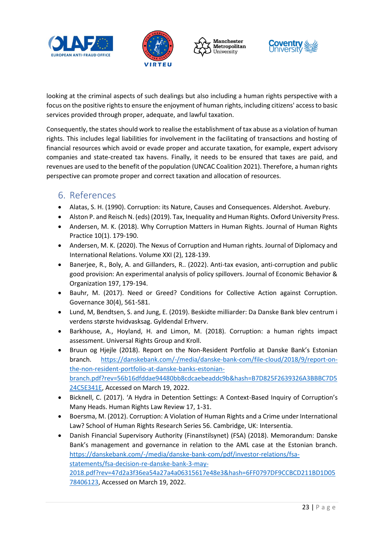







looking at the criminal aspects of such dealings but also including a human rights perspective with a focus on the positive rights to ensure the enjoyment of human rights, including citizens' access to basic services provided through proper, adequate, and lawful taxation.

Consequently, the states should work to realise the establishment of tax abuse as a violation of human rights. This includes legal liabilities for involvement in the facilitating of transactions and hosting of financial resources which avoid or evade proper and accurate taxation, for example, expert advisory companies and state-created tax havens. Finally, it needs to be ensured that taxes are paid, and revenues are used to the benefit of the population (UNCAC Coalition 2021). Therefore, a human rights perspective can promote proper and correct taxation and allocation of resources.

## <span id="page-23-0"></span>6. References

- Alatas, S. H. (1990). Corruption: its Nature, Causes and Consequences. Aldershot. Avebury.
- Alston P. and Reisch N. (eds) (2019). Tax, Inequality and Human Rights. Oxford University Press.
- Andersen, M. K. (2018). Why Corruption Matters in Human Rights. Journal of Human Rights Practice 10(1). 179-190.
- Andersen, M. K. (2020). The Nexus of Corruption and Human rights. Journal of Diplomacy and International Relations. Volume XXI (2), 128-139.
- Banerjee, R., Boly, A. and Gillanders, R.. (2022). Anti-tax evasion, anti-corruption and public good provision: An experimental analysis of policy spillovers. Journal of Economic Behavior & Organization 197, 179-194.
- Bauhr, M. (2017). Need or Greed? Conditions for Collective Action against Corruption. Governance 30(4), 561-581.
- Lund, M, Bendtsen, S. and Jung, E. (2019). Beskidte milliarder: Da Danske Bank blev centrum i verdens største hvidvasksag. Gyldendal Erhverv.
- Barkhouse, A., Hoyland, H. and Limon, M. (2018). Corruption: a human rights impact assessment. Universal Rights Group and Kroll.
- Bruun og Hjejle (2018). Report on the Non-Resident Portfolio at Danske Bank's Estonian branch. [https://danskebank.com/-/media/danske-bank-com/file-cloud/2018/9/report-on](https://danskebank.com/-/media/danske-bank-com/file-cloud/2018/9/report-on-the-non-resident-portfolio-at-danske-banks-estonian-branch.pdf?rev=56b16dfddae94480bb8cdcaebeaddc9b&hash=B7D825F2639326A3BBBC7D524C5E341E)[the-non-resident-portfolio-at-danske-banks-estonian](https://danskebank.com/-/media/danske-bank-com/file-cloud/2018/9/report-on-the-non-resident-portfolio-at-danske-banks-estonian-branch.pdf?rev=56b16dfddae94480bb8cdcaebeaddc9b&hash=B7D825F2639326A3BBBC7D524C5E341E)[branch.pdf?rev=56b16dfddae94480bb8cdcaebeaddc9b&hash=B7D825F2639326A3BBBC7D5](https://danskebank.com/-/media/danske-bank-com/file-cloud/2018/9/report-on-the-non-resident-portfolio-at-danske-banks-estonian-branch.pdf?rev=56b16dfddae94480bb8cdcaebeaddc9b&hash=B7D825F2639326A3BBBC7D524C5E341E) [24C5E341E,](https://danskebank.com/-/media/danske-bank-com/file-cloud/2018/9/report-on-the-non-resident-portfolio-at-danske-banks-estonian-branch.pdf?rev=56b16dfddae94480bb8cdcaebeaddc9b&hash=B7D825F2639326A3BBBC7D524C5E341E) Accessed on March 19, 2022.
- Bicknell, C. (2017). 'A Hydra in Detention Settings: A Context-Based Inquiry of Corruption's Many Heads. Human Rights Law Review 17, 1-31.
- Boersma, M. (2012). Corruption: A Violation of Human Rights and a Crime under International Law? School of Human Rights Research Series 56. Cambridge, UK: Intersentia.
- Danish Financial Supervisory Authority (Finanstilsynet) (FSA) (2018). Memorandum: Danske Bank's management and governance in relation to the AML case at the Estonian branch. [https://danskebank.com/-/media/danske-bank-com/pdf/investor-relations/fsa](https://danskebank.com/-/media/danske-bank-com/pdf/investor-relations/fsa-statements/fsa-decision-re-danske-bank-3-may-2018.pdf?rev=47d2a3f36ea54a27a4a06315617e48e3&hash=6FF0797DF9CCBCD211BD1D0578406123)[statements/fsa-decision-re-danske-bank-3-may-](https://danskebank.com/-/media/danske-bank-com/pdf/investor-relations/fsa-statements/fsa-decision-re-danske-bank-3-may-2018.pdf?rev=47d2a3f36ea54a27a4a06315617e48e3&hash=6FF0797DF9CCBCD211BD1D0578406123)[2018.pdf?rev=47d2a3f36ea54a27a4a06315617e48e3&hash=6FF0797DF9CCBCD211BD1D05](https://danskebank.com/-/media/danske-bank-com/pdf/investor-relations/fsa-statements/fsa-decision-re-danske-bank-3-may-2018.pdf?rev=47d2a3f36ea54a27a4a06315617e48e3&hash=6FF0797DF9CCBCD211BD1D0578406123) [78406123,](https://danskebank.com/-/media/danske-bank-com/pdf/investor-relations/fsa-statements/fsa-decision-re-danske-bank-3-may-2018.pdf?rev=47d2a3f36ea54a27a4a06315617e48e3&hash=6FF0797DF9CCBCD211BD1D0578406123) Accessed on March 19, 2022.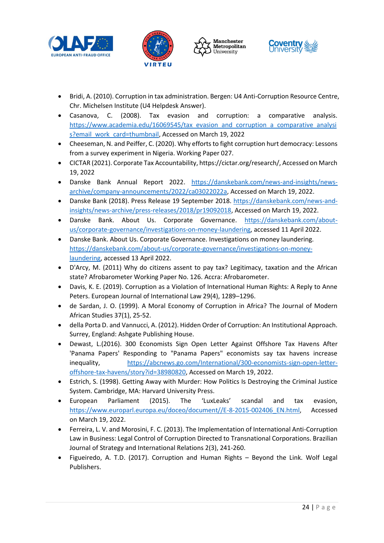







- Bridi, A. (2010). Corruption in tax administration. Bergen: U4 Anti-Corruption Resource Centre, Chr. Michelsen Institute (U4 Helpdesk Answer).
- Casanova, C. (2008). Tax evasion and corruption: a comparative analysis. [https://www.academia.edu/16069545/tax\\_evasion\\_and\\_corruption\\_a\\_comparative\\_analysi](https://www.academia.edu/16069545/tax_evasion_and_corruption_a_comparative_analysis?email_work_card=thumbnail) [s?email\\_work\\_card=thumbnail,](https://www.academia.edu/16069545/tax_evasion_and_corruption_a_comparative_analysis?email_work_card=thumbnail) Accessed on March 19, 2022
- Cheeseman, N. and Peiffer, C. (2020). Why efforts to fight corruption hurt democracy: Lessons from a survey experiment in Nigeria. Working Paper 027.
- CICTAR (2021). Corporate Tax Accountability, https://cictar.org/research/, Accessed on March 19, 2022
- Danske Bank Annual Report 2022. [https://danskebank.com/news-and-insights/news](https://danskebank.com/news-and-insights/news-archive/company-announcements/2022/ca03022022a)[archive/company-announcements/2022/ca03022022a,](https://danskebank.com/news-and-insights/news-archive/company-announcements/2022/ca03022022a) Accessed on March 19, 2022.
- Danske Bank (2018). Press Release 19 September 2018. [https://danskebank.com/news-and](https://danskebank.com/news-and-insights/news-archive/press-releases/2018/pr19092018)[insights/news-archive/press-releases/2018/pr19092018,](https://danskebank.com/news-and-insights/news-archive/press-releases/2018/pr19092018) Accessed on March 19, 2022.
- Danske Bank. About Us. Corporate Governance. [https://danskebank.com/about](https://danskebank.com/about-us/corporate-governance/investigations-on-money-laundering)[us/corporate-governance/investigations-on-money-laundering,](https://danskebank.com/about-us/corporate-governance/investigations-on-money-laundering) accessed 11 April 2022.
- Danske Bank. About Us. Corporate Governance. Investigations on money laundering. [https://danskebank.com/about-us/corporate-governance/investigations-on-money](https://danskebank.com/about-us/corporate-governance/investigations-on-money-laundering)[laundering,](https://danskebank.com/about-us/corporate-governance/investigations-on-money-laundering) accessed 13 April 2022.
- D'Arcy, M. (2011) Why do citizens assent to pay tax? Legitimacy, taxation and the African state? Afrobarometer Working Paper No. 126. Accra: Afrobarometer.
- Davis, K. E. (2019). Corruption as a Violation of International Human Rights: A Reply to Anne Peters. European Journal of International Law 29(4), 1289–1296.
- de Sardan, J. O. (1999). A Moral Economy of Corruption in Africa? The Journal of Modern African Studies 37(1), 25-52.
- della Porta D. and Vannucci, A. (2012). Hidden Order of Corruption: An Institutional Approach. Surrey, England: Ashgate Publishing House.
- Dewast, L.(2016). 300 Economists Sign Open Letter Against Offshore Tax Havens After 'Panama Papers' Responding to "Panama Papers" economists say tax havens increase inequality, [https://abcnews.go.com/International/300-economists-sign-open-letter](https://abcnews.go.com/International/300-economists-sign-open-letter-offshore-tax-havens/story?id=38980820)[offshore-tax-havens/story?id=38980820,](https://abcnews.go.com/International/300-economists-sign-open-letter-offshore-tax-havens/story?id=38980820) Accessed on March 19, 2022.
- Estrich, S. (1998). Getting Away with Murder: How Politics Is Destroying the Criminal Justice System. Cambridge, MA: Harvard University Press.
- European Parliament (2015). The 'LuxLeaks' scandal and tax evasion, [https://www.europarl.europa.eu/doceo/document//E-8-2015-002406\\_EN.html,](https://www.europarl.europa.eu/doceo/document/E-8-2015-002406_EN.html) Accessed on March 19, 2022.
- Ferreira, L. V. and Morosini, F. C. (2013). The Implementation of International Anti-Corruption Law in Business: Legal Control of Corruption Directed to Transnational Corporations. Brazilian Journal of Strategy and International Relations 2(3), 241-260.
- Figueiredo, A. T.D. (2017). Corruption and Human Rights Beyond the Link. Wolf Legal Publishers.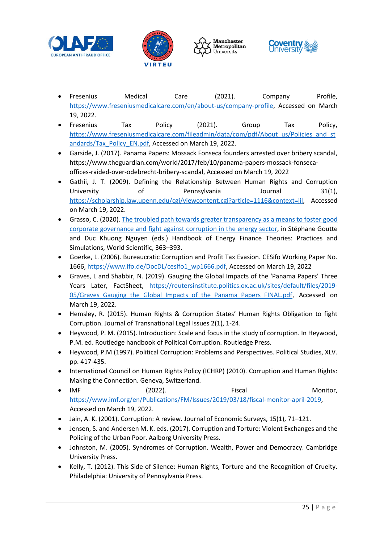







- Fresenius Medical Care (2021). Company Profile, [https://www.freseniusmedicalcare.com/en/about-us/company-profile,](https://www.freseniusmedicalcare.com/en/about-us/company-profile) Accessed on March 19, 2022.
- Fresenius Tax Policy (2021). Group Tax Policy, [https://www.freseniusmedicalcare.com/fileadmin/data/com/pdf/About\\_us/Policies\\_and\\_st](https://www.freseniusmedicalcare.com/fileadmin/data/com/pdf/About_us/Policies_and_standards/Tax_Policy_EN.pdf) [andards/Tax\\_Policy\\_EN.pdf,](https://www.freseniusmedicalcare.com/fileadmin/data/com/pdf/About_us/Policies_and_standards/Tax_Policy_EN.pdf) Accessed on March 19, 2022.
- Garside, J. (2017). Panama Papers: Mossack Fonseca founders arrested over bribery scandal, https://www.theguardian.com/world/2017/feb/10/panama-papers-mossack-fonsecaoffices-raided-over-odebrecht-bribery-scandal, Accessed on March 19, 2022
- Gathii, J. T. (2009). Defining the Relationship Between Human Rights and Corruption University of Pennsylvania Journal 31(1), [https://scholarship.law.upenn.edu/cgi/viewcontent.cgi?article=1116&context=jil,](https://scholarship.law.upenn.edu/cgi/viewcontent.cgi?article=1116&context=jil) Accessed on March 19, 2022.
- Grasso, C. (2020). [The troubled path towards greater transparency](https://www.researchgate.net/publication/335147033_The_troubled_path_towards_greater_transparency_as_a_means_to_foster_good_corporate_governance_and_fight_against_corruption_in_the_energy_sector) as a means to foster good corporate [governance and fight against corruption](https://www.researchgate.net/publication/335147033_The_troubled_path_towards_greater_transparency_as_a_means_to_foster_good_corporate_governance_and_fight_against_corruption_in_the_energy_sector) in the energy sector, in Stéphane Goutte and Duc Khuong Nguyen (eds.) Handbook of Energy Finance Theories: Practices and Simulations, World Scientific, 363–393.
- Goerke, L. (2006). Bureaucratic Corruption and Profit Tax Evasion. CESifo Working Paper No. 1666[, https://www.ifo.de/DocDL/cesifo1\\_wp1666.pdf,](https://www.ifo.de/DocDL/cesifo1_wp1666.pdf) Accessed on March 19, 2022
- Graves, L and Shabbir, N. (2019). Gauging the Global Impacts of the 'Panama Papers' Three Years Later, FactSheet, [https://reutersinstitute.politics.ox.ac.uk/sites/default/files/2019-](https://reutersinstitute.politics.ox.ac.uk/sites/default/files/2019-05/Graves_Gauging_the_Global_Impacts_of_the_Panama_Papers_FINAL.pdf) 05/Graves Gauging the Global Impacts of the Panama Papers FINAL.pdf, Accessed on March 19, 2022.
- Hemsley, R. (2015). Human Rights & Corruption States' Human Rights Obligation to fight Corruption. Journal of Transnational Legal Issues 2(1), 1-24.
- Heywood, P. M. (2015). Introduction: Scale and focus in the study of corruption. In Heywood, P.M. ed. Routledge handbook of Political Corruption. Routledge Press.
- Heywood, P.M (1997). Political Corruption: Problems and Perspectives. Political Studies, XLV. pp. 417-435.
- International Council on Human Rights Policy (ICHRP) (2010). Corruption and Human Rights: Making the Connection. Geneva, Switzerland.
- IMF (2022). Fiscal Fiscal Monitor, [https://www.imf.org/en/Publications/FM/Issues/2019/03/18/fiscal-monitor-april-2019,](https://www.imf.org/en/Publications/FM/Issues/2019/03/18/fiscal-monitor-april-2019) Accessed on March 19, 2022.
- Jain, A. K. (2001). Corruption: A review. Journal of Economic Surveys, 15(1), 71–121.
- Jensen, S. and Andersen M. K. eds. (2017). Corruption and Torture: Violent Exchanges and the Policing of the Urban Poor. Aalborg University Press.
- Johnston, M. (2005). Syndromes of Corruption. Wealth, Power and Democracy. Cambridge University Press.
- Kelly, T. (2012). This Side of Silence: Human Rights, Torture and the Recognition of Cruelty. Philadelphia: University of Pennsylvania Press.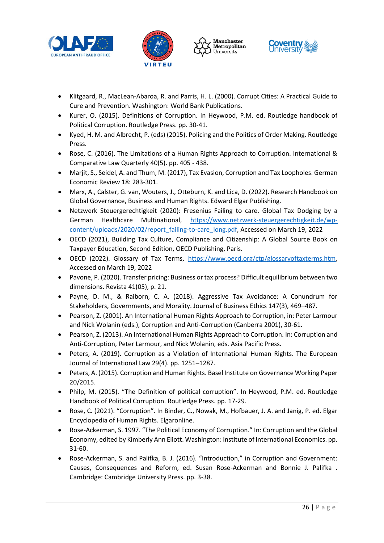







- Klitgaard, R., MacLean-Abaroa, R. and Parris, H. L. (2000). Corrupt Cities: A Practical Guide to Cure and Prevention. Washington: World Bank Publications.
- Kurer, O. (2015). Definitions of Corruption. In Heywood, P.M. ed. Routledge handbook of Political Corruption. Routledge Press. pp. 30-41.
- Kyed, H. M. and Albrecht, P. (eds) (2015). Policing and the Politics of Order Making. Routledge Press.
- Rose, C. (2016). The Limitations of a Human Rights Approach to Corruption. International & Comparative Law Quarterly 40(5). pp. 405 - 438.
- Marjit, S., Seidel, A. and Thum, M. (2017), Tax Evasion, Corruption and Tax Loopholes. German Economic Review 18: 283-301.
- Marx, A., Calster, G. van, Wouters, J., Otteburn, K. and Lica, D. (2022). Research Handbook on Global Governance, Business and Human Rights. Edward Elgar Publishing.
- Netzwerk Steuergerechtigkeit (2020): Fresenius Failing to care. Global Tax Dodging by a German Healthcare Multinational, [https://www.netzwerk-steuergerechtigkeit.de/wp](https://www.netzwerk-steuergerechtigkeit.de/wp-content/uploads/2020/02/report_failing-to-care_long.pdf)[content/uploads/2020/02/report\\_failing-to-care\\_long.pdf,](https://www.netzwerk-steuergerechtigkeit.de/wp-content/uploads/2020/02/report_failing-to-care_long.pdf) Accessed on March 19, 2022
- OECD (2021), Building Tax Culture, Compliance and Citizenship: A Global Source Book on Taxpayer Education, Second Edition, OECD Publishing, Paris.
- OECD (2022). Glossary of Tax Terms, [https://www.oecd.org/ctp/glossaryoftaxterms.htm,](https://www.oecd.org/ctp/glossaryoftaxterms.htm) Accessed on March 19, 2022
- Pavone, P. (2020). Transfer pricing: Business or tax process? Difficult equilibrium between two dimensions. Revista 41(05), p. 21.
- Payne, D. M., & Raiborn, C. A. (2018). Aggressive Tax Avoidance: A Conundrum for Stakeholders, Governments, and Morality. Journal of Business Ethics 147(3), 469–487.
- Pearson, Z. (2001). An International Human Rights Approach to Corruption, in: Peter Larmour and Nick Wolanin (eds.), Corruption and Anti-Corruption (Canberra 2001), 30-61.
- Pearson, Z. (2013). An International Human Rights Approach to Corruption. In: Corruption and Anti-Corruption, Peter Larmour, and Nick Wolanin, eds. Asia Pacific Press.
- Peters, A. (2019). Corruption as a Violation of International Human Rights. The European Journal of International Law 29(4). pp. 1251–1287.
- Peters, A. (2015). Corruption and Human Rights. Basel Institute on Governance Working Paper 20/2015.
- Philp, M. (2015). "The Definition of political corruption". In Heywood, P.M. ed. Routledge Handbook of Political Corruption. Routledge Press. pp. 17-29.
- Rose, C. (2021). "Corruption". In Binder, C., Nowak, M., Hofbauer, J. A. and Janig, P. ed. Elgar Encyclopedia of Human Rights. Elgaronline.
- Rose-Ackerman, S. 1997. "The Political Economy of Corruption." In: Corruption and the Global Economy, edited by Kimberly Ann Eliott. Washington: Institute of International Economics. pp. 31-60.
- Rose-Ackerman, S. and Palifka, B. J. (2016). "Introduction," in Corruption and Government: Causes, Consequences and Reform, ed. Susan Rose-Ackerman and Bonnie J. Palifka . Cambridge: Cambridge University Press. pp. 3-38.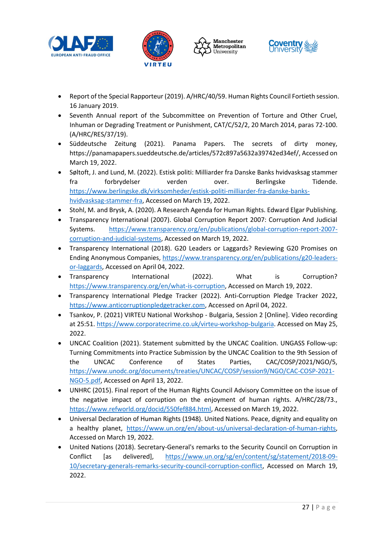







- Report of the Special Rapporteur (2019). A/HRC/40/59. Human Rights Council Fortieth session. 16 January 2019.
- Seventh Annual report of the Subcommittee on Prevention of Torture and Other Cruel, Inhuman or Degrading Treatment or Punishment, CAT/C/52/2, 20 March 2014, paras 72-100. (A/HRC/RES/37/19).
- Süddeutsche Zeitung (2021). Panama Papers. The secrets of dirty money, https://panamapapers.sueddeutsche.de/articles/572c897a5632a39742ed34ef/, Accessed on March 19, 2022.
- Søltoft, J. and Lund, M. (2022). Estisk politi: Milliarder fra Danske Banks hvidvasksag stammer fra forbrydelser verden over. Berlingske Tidende. [https://www.berlingske.dk/virksomheder/estisk-politi-milliarder-fra-danske-banks](https://www.berlingske.dk/virksomheder/estisk-politi-milliarder-fra-danske-banks-hvidvasksag-stammer-fra)[hvidvasksag-stammer-fra,](https://www.berlingske.dk/virksomheder/estisk-politi-milliarder-fra-danske-banks-hvidvasksag-stammer-fra) Accessed on March 19, 2022.
- Stohl, M. and Brysk, A. (2020). A Research Agenda for Human Rights. Edward Elgar Publishing.
- Transparency International (2007). Global Corruption Report 2007: Corruption And Judicial Systems. [https://www.transparency.org/en/publications/global-corruption-report-2007](https://www.transparency.org/en/publications/global-corruption-report-2007-corruption-and-judicial-systems) [corruption-and-judicial-systems,](https://www.transparency.org/en/publications/global-corruption-report-2007-corruption-and-judicial-systems) Accessed on March 19, 2022.
- Transparency International (2018). G20 Leaders or Laggards? Reviewing G20 Promises on Ending Anonymous Companies, [https://www.transparency.org/en/publications/g20-leaders](https://www.transparency.org/en/publications/g20-leaders-or-laggards)[or-laggards,](https://www.transparency.org/en/publications/g20-leaders-or-laggards) Accessed on April 04, 2022.
- Transparency International (2022). What is Corruption? [https://www.transparency.org/en/what-is-corruption,](https://www.transparency.org/en/what-is-corruption) Accessed on March 19, 2022.
- Transparency International Pledge Tracker (2022). Anti-Corruption Pledge Tracker 2022, [https://www.anticorruptionpledgetracker.com,](https://www.anticorruptionpledgetracker.com/) Accessed on April 04, 2022.
- Tsankov, P. (2021) VIRTEU National Workshop Bulgaria, Session 2 [Online]. Video recording at 25:51. [https://www.corporatecrime.co.uk/virteu-workshop-bulgaria.](https://www.corporatecrime.co.uk/virteu-workshop-bulgaria) Accessed on May 25, 2022.
- UNCAC Coalition (2021). Statement submitted by the UNCAC Coalition. UNGASS Follow-up: Turning Commitments into Practice Submission by the UNCAC Coalition to the 9th Session of the UNCAC Conference of States Parties, CAC/COSP/2021/NGO/5, [https://www.unodc.org/documents/treaties/UNCAC/COSP/session9/NGO/CAC-COSP-2021-](https://www.unodc.org/documents/treaties/UNCAC/COSP/session9/NGO/CAC-COSP-2021-NGO-5.pdf) [NGO-5.pdf,](https://www.unodc.org/documents/treaties/UNCAC/COSP/session9/NGO/CAC-COSP-2021-NGO-5.pdf) Accessed on April 13, 2022.
- UNHRC (2015). Final report of the Human Rights Council Advisory Committee on the issue of the negative impact of corruption on the enjoyment of human rights. A/HRC/28/73., [https://www.refworld.org/docid/550fef884.html,](https://www.refworld.org/docid/550fef884.html) Accessed on March 19, 2022.
- Universal Declaration of Human Rights (1948). United Nations. Peace, dignity and equality on a healthy planet, [https://www.un.org/en/about-us/universal-declaration-of-human-rights,](https://www.un.org/en/about-us/universal-declaration-of-human-rights) Accessed on March 19, 2022.
- United Nations (2018). Secretary-General's remarks to the Security Council on Corruption in Conflict [as delivered], [https://www.un.org/sg/en/content/sg/statement/2018-09-](https://www.un.org/sg/en/content/sg/statement/2018-09-10/secretary-generals-remarks-security-council-corruption-conflict) [10/secretary-generals-remarks-security-council-corruption-conflict,](https://www.un.org/sg/en/content/sg/statement/2018-09-10/secretary-generals-remarks-security-council-corruption-conflict) Accessed on March 19, 2022.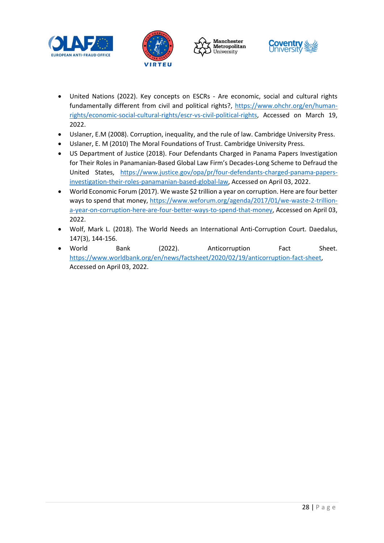







- United Nations (2022). Key concepts on ESCRs Are economic, social and cultural rights fundamentally different from civil and political rights?, [https://www.ohchr.org/en/human](https://www.ohchr.org/en/human-rights/economic-social-cultural-rights/escr-vs-civil-political-rights)[rights/economic-social-cultural-rights/escr-vs-civil-political-rights,](https://www.ohchr.org/en/human-rights/economic-social-cultural-rights/escr-vs-civil-political-rights) Accessed on March 19, 2022.
- Uslaner, E.M (2008). Corruption, inequality, and the rule of law. Cambridge University Press.
- Uslaner, E. M (2010) The Moral Foundations of Trust. Cambridge University Press.
- US Department of Justice (2018). Four Defendants Charged in Panama Papers Investigation for Their Roles in Panamanian-Based Global Law Firm's Decades-Long Scheme to Defraud the United States, [https://www.justice.gov/opa/pr/four-defendants-charged-panama-papers](https://www.justice.gov/opa/pr/four-defendants-charged-panama-papers-investigation-their-roles-panamanian-based-global-law)[investigation-their-roles-panamanian-based-global-law,](https://www.justice.gov/opa/pr/four-defendants-charged-panama-papers-investigation-their-roles-panamanian-based-global-law) Accessed on April 03, 2022.
- World Economic Forum (2017). We waste \$2 trillion a year on corruption. Here are four better ways to spend that money, [https://www.weforum.org/agenda/2017/01/we-waste-2-trillion](https://www.weforum.org/agenda/2017/01/we-waste-2-trillion-a-year-on-corruption-here-are-four-better-ways-to-spend-that-money)[a-year-on-corruption-here-are-four-better-ways-to-spend-that-money,](https://www.weforum.org/agenda/2017/01/we-waste-2-trillion-a-year-on-corruption-here-are-four-better-ways-to-spend-that-money) Accessed on April 03, 2022.
- Wolf, Mark L. (2018). The World Needs an International Anti-Corruption Court. Daedalus, 147(3), 144-156.
- World Bank (2022). Anticorruption Fact Sheet. [https://www.worldbank.org/en/news/factsheet/2020/02/19/anticorruption-fact-sheet,](https://www.worldbank.org/en/news/factsheet/2020/02/19/anticorruption-fact-sheet) Accessed on April 03, 2022.